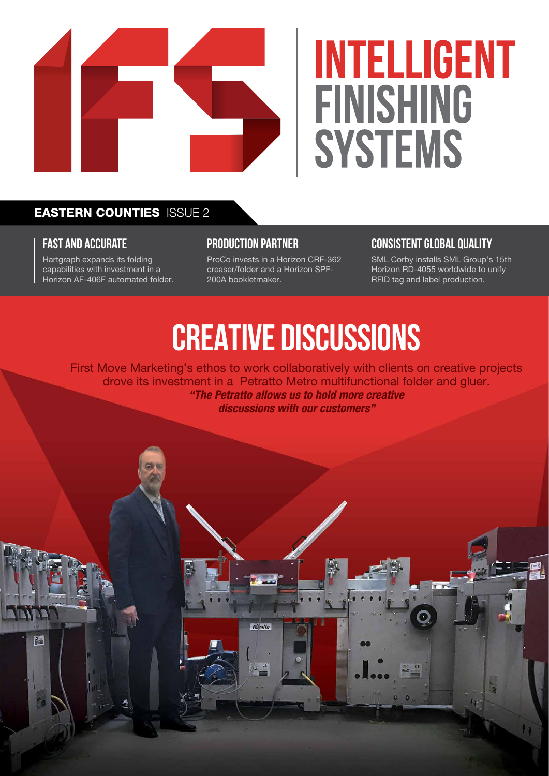

# **INTELLIGENT FINISHING** SYSTEMS

### EASTERN COUNTIES ISSUE 2

### **FAST AND accurate**

Red

Hartgraph expands its folding capabilities with investment in a Horizon AF-406F automated folder.

#### **production partner**

ProCo invests in a Horizon CRF-362 creaser/folder and a Horizon SPF-200A bookletmaker.

### **CONSISTENT GLOBAL QUALITY**

SML Corby installs SML Group's 15th Horizon RD-4055 worldwide to unify RFID tag and label production.

### **CREATIVE DISCUSSIONS**

First Move Marketing's ethos to work collaboratively with clients on creative projects drove its investment in a Petratto Metro multifunctional folder and gluer. *"The Petratto allows us to hold more creative discussions with our customers"*

**Telratto** 

 $C \in$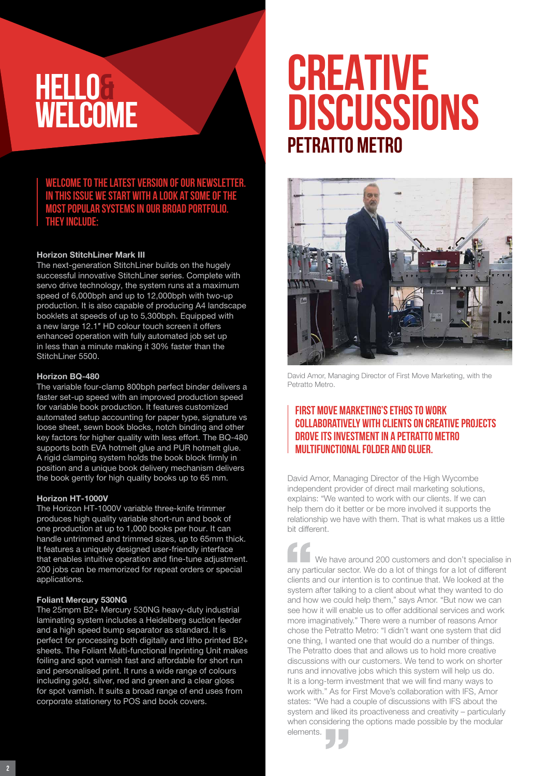### **HELLO& WELCOME**

**Welcome to the latest version of our newsletter. In this issue we start with a look at some of the most popular systems in our broad portfolio. They include:**

#### Horizon StitchLiner Mark III

The next-generation StitchLiner builds on the hugely successful innovative StitchLiner series. Complete with servo drive technology, the system runs at a maximum speed of 6,000bph and up to 12,000bph with two-up production. It is also capable of producing A4 landscape booklets at speeds of up to 5,300bph. Equipped with a new large 12.1″ HD colour touch screen it offers enhanced operation with fully automated job set up in less than a minute making it 30% faster than the StitchLiner 5500.

#### Horizon BQ-480

The variable four-clamp 800bph perfect binder delivers a faster set-up speed with an improved production speed for variable book production. It features customized automated setup accounting for paper type, signature vs loose sheet, sewn book blocks, notch binding and other key factors for higher quality with less effort. The BQ-480 supports both EVA hotmelt glue and PUR hotmelt glue. A rigid clamping system holds the book block firmly in position and a unique book delivery mechanism delivers the book gently for high quality books up to 65 mm.

#### Horizon HT-1000V

The Horizon HT-1000V variable three-knife trimmer produces high quality variable short-run and book of one production at up to 1,000 books per hour. It can handle untrimmed and trimmed sizes, up to 65mm thick. It features a uniquely designed user-friendly interface that enables intuitive operation and fine-tune adjustment. 200 jobs can be memorized for repeat orders or special applications.

#### Foliant Mercury 530NG

The 25mpm B2+ Mercury 530NG heavy-duty industrial laminating system includes a Heidelberg suction feeder and a high speed bump separator as standard. It is perfect for processing both digitally and litho printed B2+ sheets. The Foliant Multi-functional Inprinting Unit makes foiling and spot varnish fast and affordable for short run and personalised print. It runs a wide range of colours including gold, silver, red and green and a clear gloss for spot varnish. It suits a broad range of end uses from corporate stationery to POS and book covers.

### **Petratto Metro CREATIVE DISCUSSIONS**



David Amor, Managing Director of First Move Marketing, with the Petratto Metro.

### First Move Marketing's ethos to work collaboratively with clients on creative projects drove its investment in A Petratto Metro multifunctional folder and gluer.

David Amor, Managing Director of the High Wycombe independent provider of direct mail marketing solutions, explains: "We wanted to work with our clients. If we can help them do it better or be more involved it supports the relationship we have with them. That is what makes us a little bit different.

We have around 200 customers and don't specialise in any particular sector. We do a lot of things for a lot of different clients and our intention is to continue that. We looked at the system after talking to a client about what they wanted to do and how we could help them," says Amor. "But now we can see how it will enable us to offer additional services and work more imaginatively." There were a number of reasons Amor chose the Petratto Metro: "I didn't want one system that did one thing, I wanted one that would do a number of things. The Petratto does that and allows us to hold more creative discussions with our customers. We tend to work on shorter runs and innovative jobs which this system will help us do. It is a long-term investment that we will find many ways to work with." As for First Move's collaboration with IFS, Amor states: "We had a couple of discussions with IFS about the system and liked its proactiveness and creativity – particularly when considering the options made possible by the modular elements.

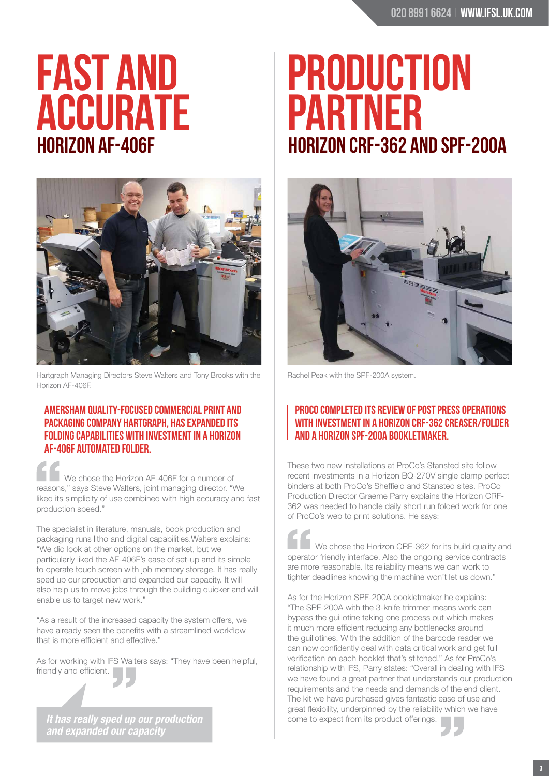## **Horizon AF-406F FAST AND ACCURATE**



Hartgraph Managing Directors Steve Walters and Tony Brooks with the Rachel Peak with the SPF-200A system. Horizon AF-406F.

### Amersham quality-focused commercial print and packaging company Hartgraph, has expanded its folding capabilities with investment in a Horizon AF-406F AUTOMATED FOLDER.

We chose the Horizon AF-406F for a number of reasons," says Steve Walters, joint managing director. "We liked its simplicity of use combined with high accuracy and fast production speed."

The specialist in literature, manuals, book production and packaging runs litho and digital capabilities.Walters explains: "We did look at other options on the market, but we particularly liked the AF-406F's ease of set-up and its simple to operate touch screen with job memory storage. It has really sped up our production and expanded our capacity. It will also help us to move jobs through the building quicker and will enable us to target new work."

"As a result of the increased capacity the system offers, we have already seen the benefits with a streamlined workflow that is more efficient and effective."

As for working with IFS Walters says: "They have been helpful, friendly and efficient.

*It has really sped up our production and expanded our capacity*

### **Horizon CRF-362 and SPF-200A PRODUCTION PARTNER**



### ProCo completed its review of post press operations with investment in a Horizon CRF-362 creaser/folder and a Horizon SPF-200A bookletmaker.

These two new installations at ProCo's Stansted site follow recent investments in a Horizon BQ-270V single clamp perfect binders at both ProCo's Sheffield and Stansted sites. ProCo Production Director Graeme Parry explains the Horizon CRF-362 was needed to handle daily short run folded work for one of ProCo's web to print solutions. He says:

We chose the Horizon CRF-362 for its build quality and operator friendly interface. Also the ongoing service contracts are more reasonable. Its reliability means we can work to tighter deadlines knowing the machine won't let us down."

As for the Horizon SPF-200A bookletmaker he explains: "The SPF-200A with the 3-knife trimmer means work can bypass the guillotine taking one process out which makes it much more efficient reducing any bottlenecks around the guillotines. With the addition of the barcode reader we can now confidently deal with data critical work and get full verification on each booklet that's stitched." As for ProCo's relationship with IFS, Parry states: "Overall in dealing with IFS we have found a great partner that understands our production requirements and the needs and demands of the end client. The kit we have purchased gives fantastic ease of use and great flexibility, underpinned by the reliability which we have come to expect from its product offerings.